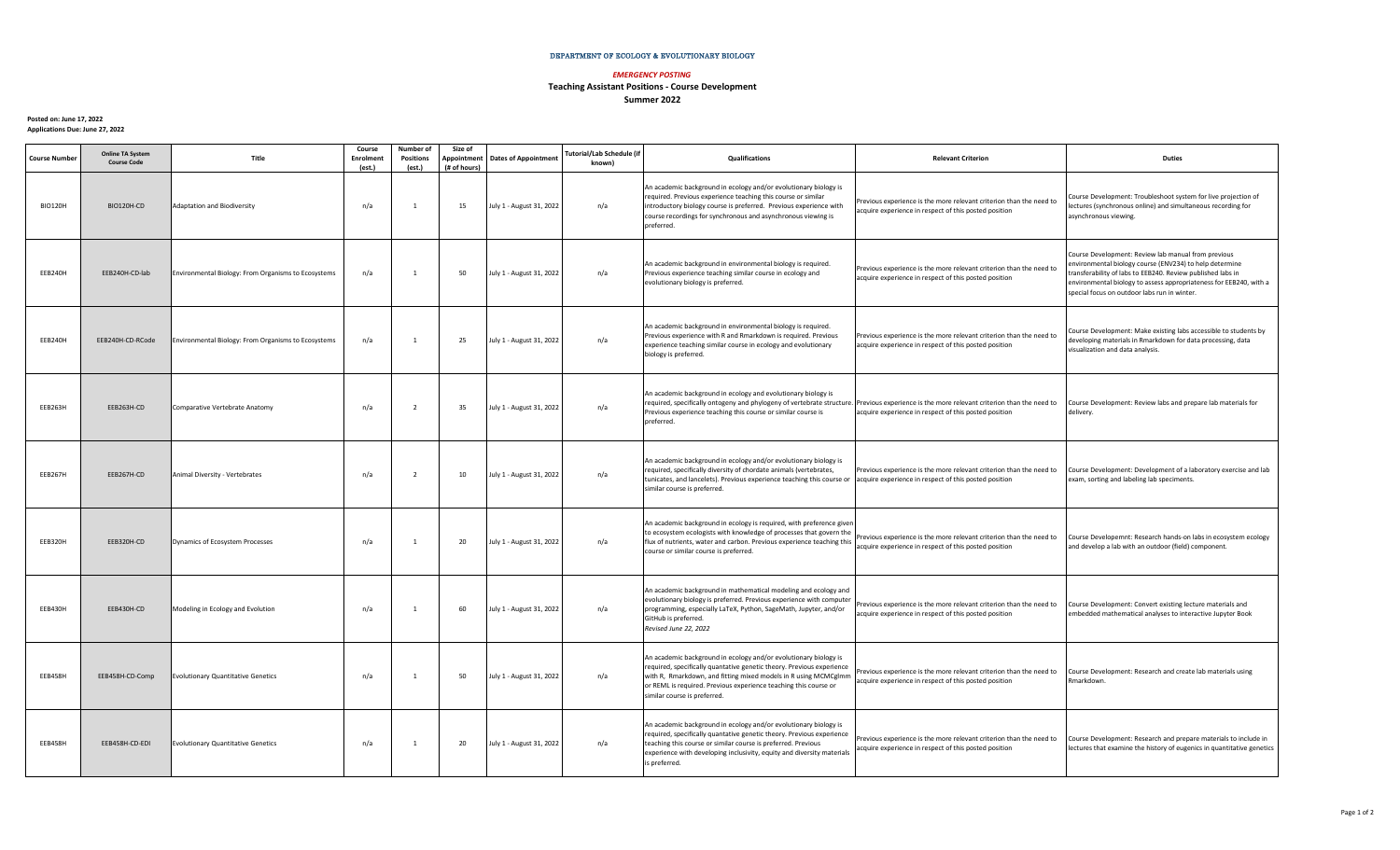## DEPARTMENT OF ECOLOGY & EVOLUTIONARY BIOLOGY

## *EMERGENCY POSTING*

## **Teaching Assistant Positions - Course Development Summer 2022**

**Posted on: June 17, 2022 Applications Due: June 27, 2022**

| <b>Course Number</b> | <b>Online TA System</b><br><b>Course Code</b> | Title                                                      | Course<br><b>Enrolment</b><br>(est.) | Number of<br><b>Positions</b><br>(est.) | Size of<br>Appointment<br>(# of hours) | <b>Dates of Appointment</b> | Tutorial/Lab Schedule (if<br>known) | Qualifications                                                                                                                                                                                                                                                                                                   | <b>Relevant Criterion</b>                                                                                                    | <b>Duties</b>                                                                                                                                                                                                                                                                                       |
|----------------------|-----------------------------------------------|------------------------------------------------------------|--------------------------------------|-----------------------------------------|----------------------------------------|-----------------------------|-------------------------------------|------------------------------------------------------------------------------------------------------------------------------------------------------------------------------------------------------------------------------------------------------------------------------------------------------------------|------------------------------------------------------------------------------------------------------------------------------|-----------------------------------------------------------------------------------------------------------------------------------------------------------------------------------------------------------------------------------------------------------------------------------------------------|
| <b>BIO120H</b>       | BIO120H-CD                                    | <b>Adaptation and Biodiversity</b>                         | n/a                                  | $\overline{1}$                          | 15                                     | July 1 - August 31, 2022    | n/a                                 | An academic background in ecology and/or evolutionary biology is<br>required. Previous experience teaching this course or similar<br>introductory biology course is preferred. Previous experience with<br>course recordings for synchronous and asynchronous viewing is<br>preferred.                           | Previous experience is the more relevant criterion than the need to<br>acquire experience in respect of this posted position | Course Development: Troubleshoot system for live projection of<br>lectures (synchronous online) and simultaneous recording for<br>asynchronous viewing.                                                                                                                                             |
| EEB240H              | EEB240H-CD-lab                                | Environmental Biology: From Organisms to Ecosystems        | n/a                                  | $\overline{1}$                          | 50                                     | July 1 - August 31, 2022    | n/a                                 | An academic background in environmental biology is required.<br>Previous experience teaching similar course in ecology and<br>evolutionary biology is preferred.                                                                                                                                                 | Previous experience is the more relevant criterion than the need to<br>acquire experience in respect of this posted position | Course Development: Review lab manual from previous<br>environmental biology course (ENV234) to help determine<br>transferability of labs to EEB240. Review published labs in<br>environmental biology to assess appropriateness for EEB240, with a<br>special focus on outdoor labs run in winter. |
| EEB240H              | EEB240H-CD-RCode                              | <b>Environmental Biology: From Organisms to Ecosystems</b> | n/a                                  | $\overline{1}$                          | 25                                     | July 1 - August 31, 2022    | n/a                                 | An academic background in environmental biology is required.<br>Previous experience with R and Rmarkdown is required. Previous<br>experience teaching similar course in ecology and evolutionary<br>biology is preferred.                                                                                        | Previous experience is the more relevant criterion than the need to<br>acquire experience in respect of this posted position | Course Development: Make existing labs accessible to students by<br>developing materials in Rmarkdown for data processing, data<br>visualization and data analysis.                                                                                                                                 |
| EEB263H              | EEB263H-CD                                    | Comparative Vertebrate Anatomy                             | n/a                                  | $\overline{2}$                          | 35                                     | July 1 - August 31, 2022    | n/a                                 | An academic background in ecology and evolutionary biology is<br>required, specifically ontogeny and phylogeny of vertebrate structure.<br>Previous experience teaching this course or similar course is<br>preferred.                                                                                           | Previous experience is the more relevant criterion than the need to<br>acquire experience in respect of this posted position | Course Development: Review labs and prepare lab materials for<br>delivery.                                                                                                                                                                                                                          |
| EEB267H              | EEB267H-CD                                    | Animal Diversity - Vertebrates                             | n/a                                  | $\overline{2}$                          | 10                                     | July 1 - August 31, 2022    | n/a                                 | An academic background in ecology and/or evolutionary biology is<br>required, specifically diversity of chordate animals (vertebrates,<br>tunicates, and lancelets). Previous experience teaching this course or<br>similar course is preferred.                                                                 | Previous experience is the more relevant criterion than the need to<br>acquire experience in respect of this posted position | Course Development: Development of a laboratory exercise and lab<br>exam, sorting and labeling lab speciments.                                                                                                                                                                                      |
| EEB320H              | EEB320H-CD                                    | Dynamics of Ecosystem Processes                            | n/a                                  | $\overline{1}$                          | 20                                     | July 1 - August 31, 2022    | n/a                                 | An academic background in ecology is required, with preference given<br>to ecosystem ecologists with knowledge of processes that govern the<br>flux of nutrients, water and carbon. Previous experience teaching this<br>course or similar course is preferred.                                                  | Previous experience is the more relevant criterion than the need to<br>acquire experience in respect of this posted position | Course Developemnt: Research hands-on labs in ecosystem ecology<br>and develop a lab with an outdoor (field) component.                                                                                                                                                                             |
| EEB430H              | EEB430H-CD                                    | Modeling in Ecology and Evolution                          | n/a                                  | $\overline{1}$                          | 60                                     | July 1 - August 31, 2022    | n/a                                 | An academic background in mathematical modeling and ecology and<br>evolutionary biology is preferred. Previous experience with computer<br>programming, especially LaTeX, Python, SageMath, Jupyter, and/or<br>GitHub is preferred.<br>Revised June 22, 2022                                                     | Previous experience is the more relevant criterion than the need to<br>acquire experience in respect of this posted position | Course Development: Convert existing lecture materials and<br>embedded mathematical analyses to interactive Jupyter Book                                                                                                                                                                            |
| EEB458H              | EEB458H-CD-Comp                               | <b>Evolutionary Quantitative Genetics</b>                  | n/a                                  |                                         | 50                                     | July 1 - August 31, 2022    | n/a                                 | An academic background in ecology and/or evolutionary biology is<br>required, specifically quantative genetic theory. Previous experience<br>with R, Rmarkdown, and fitting mixed models in R using MCMCglmm<br>or REML is required. Previous experience teaching this course or<br>similar course is preferred. | Previous experience is the more relevant criterion than the need to<br>acquire experience in respect of this posted position | Course Development: Research and create lab materials using<br>Rmarkdown.                                                                                                                                                                                                                           |
| EEB458H              | EEB458H-CD-EDI                                | <b>Evolutionary Quantitative Genetics</b>                  | n/a                                  |                                         | 20                                     | July 1 - August 31, 2022    | n/a                                 | An academic background in ecology and/or evolutionary biology is<br>required, specifically quantative genetic theory. Previous experience<br>teaching this course or similar course is preferred. Previous<br>experience with developing inclusivity, equity and diversity materials<br>is preferred.            | Previous experience is the more relevant criterion than the need to<br>acquire experience in respect of this posted position | Course Development: Research and prepare materials to include in<br>lectures that examine the history of eugenics in quantitative genetics                                                                                                                                                          |